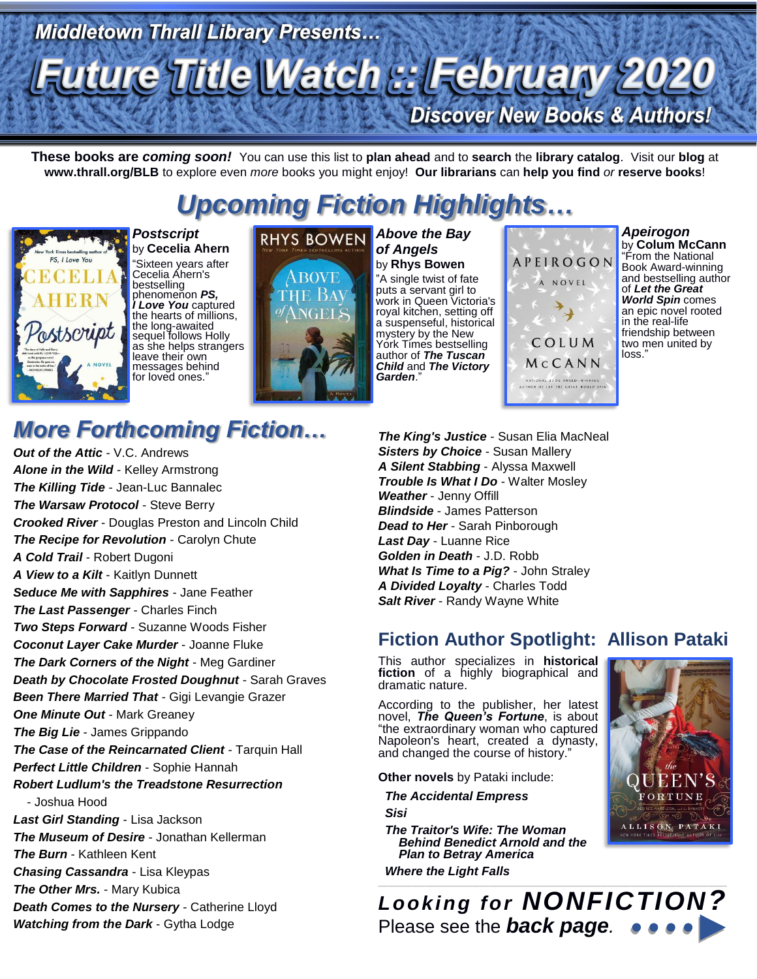# **Middletown Thrall Library Presents... Future Title Watch :: February 2020 Discover New Books & Authors!**

**These books are** *coming soon!* You can use this list to **plan ahead** and to **search** the **library catalog**. Visit our **blog** at **www.thrall.org/BLB** to explore even *more* books you might enjoy! **Our librarians** can **help you find** *or* **reserve books**!

# *Upcoming Fiction Highlights…*



*Postscript* by **Cecelia Ahern** "Sixteen years after Cecelia Ahern's bestselling phenomenon *PS, I Love You* captured the hearts of millions, the long-awaited sequel follows Holly as she helps strangers leave their own messages behind for loved ones."



*of Angels* by **Rhys Bowen** "A single twist of fate puts a servant girl to work in Queen Victoria's royal kitchen, setting off a suspenseful, historical mystery by the New York Times bestselling author of *The Tuscan Child* and *The Victory Garden*."

**APEIROGON** A NOVEL  $\rightarrow$ COLUM MCCANN SOOK AWARD-WINNE<br>LET THE GREAT WORLD

*Apeirogon* by **Colum McCann** "From the National Book Award-winning and bestselling author of *Let the Great World Spin* comes an epic novel rooted in the real-life friendship between two men united by loss.

## *More Forthcoming Fiction…*

*Out of the Attic* - V.C. Andrews *Alone in the Wild* - Kelley Armstrong *The Killing Tide* - Jean-Luc Bannalec *The Warsaw Protocol - Steve Berry Crooked River* - Douglas Preston and Lincoln Child *The Recipe for Revolution* - Carolyn Chute *A Cold Trail* - Robert Dugoni *A View to a Kilt* - Kaitlyn Dunnett *Seduce Me with Sapphires* - Jane Feather *The Last Passenger* - Charles Finch *Two Steps Forward* - Suzanne Woods Fisher *Coconut Layer Cake Murder* - Joanne Fluke *The Dark Corners of the Night* - Meg Gardiner *Death by Chocolate Frosted Doughnut* - Sarah Graves *Been There Married That* - Gigi Levangie Grazer *One Minute Out* - Mark Greaney *The Big Lie* - James Grippando *The Case of the Reincarnated Client* - Tarquin Hall *Perfect Little Children* - Sophie Hannah *Robert Ludlum's the Treadstone Resurrection* - Joshua Hood *Last Girl Standing* - Lisa Jackson *The Museum of Desire* - Jonathan Kellerman *The Burn* - Kathleen Kent *Chasing Cassandra* - Lisa Kleypas *The Other Mrs.* - Mary Kubica *Death Comes to the Nursery* - Catherine Lloyd *Watching from the Dark* - Gytha Lodge

*The King's Justice* - Susan Elia MacNeal **Sisters by Choice - Susan Mallery** *A Silent Stabbing* - Alyssa Maxwell *Trouble Is What I Do* - Walter Mosley *Weather* - Jenny Offill *Blindside* - James Patterson *Dead to Her* - Sarah Pinborough *Last Day* - Luanne Rice *Golden in Death* - J.D. Robb *What Is Time to a Pig?* - John Straley *A Divided Loyalty* - Charles Todd *Salt River* - Randy Wayne White

## **Fiction Author Spotlight: Allison Pataki**

This author specializes in **historical fiction** of a highly biographical and dramatic nature.

According to the publisher, her latest novel, *The Queen's Fortune*, is about "the extraordinary woman who captured Napoleon's heart, created a dynasty, and changed the course of history."

**Other novels** by Pataki include:

 *The Accidental Empress Sisi*

*The Traitor's Wife: The Woman Behind Benedict Arnold and the Plan to Betray America Where the Light Falls*



*Looking for NONFICTION?* Please see the *back page.*

 $\_$  ,  $\_$  ,  $\_$  ,  $\_$  ,  $\_$  ,  $\_$  ,  $\_$  ,  $\_$  ,  $\_$  ,  $\_$  ,  $\_$  ,  $\_$  ,  $\_$  ,  $\_$  ,  $\_$  ,  $\_$  ,  $\_$  ,  $\_$  ,  $\_$  ,  $\_$  ,  $\_$  ,  $\_$  ,  $\_$  ,  $\_$  ,  $\_$  ,  $\_$  ,  $\_$  ,  $\_$  ,  $\_$  ,  $\_$  ,  $\_$  ,  $\_$  ,  $\_$  ,  $\_$  ,  $\_$  ,  $\_$  ,  $\_$  ,